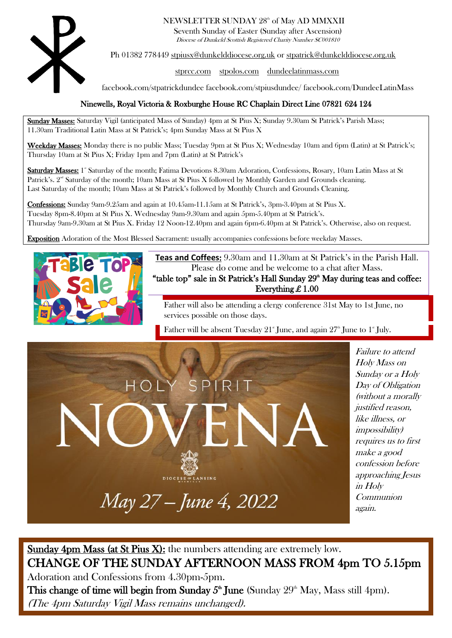

### NEWSLETTER SUNDAY 28<sup>th</sup> of May AD MMXXII

Seventh Sunday of Easter (Sunday after Ascension) Diocese of Dunkeld Scottish Registered Charity Number SC001810

Ph 01382 778449 [stpiusx@dunkelddiocese.org.uk](mailto:stpiusx@dunkelddiocese.org.uk) or [stpatrick@dunkelddiocese.org.uk](mailto:stpatrick@dunkelddiocese.org.uk)

[stprcc.com](https://www.stprcc.com/) [stpolos.com](http://www.stpolos.com/) [dundeelatinmass.com](https://dundeelatinmass.com/)

facebook.com/stpatrickdundee facebook.com/stpiusdundee/ facebook.com/DundeeLatinMass

### Ninewells, Royal Victoria & Roxburghe House RC Chaplain Direct Line 07821 624 124

Sunday Masses: Saturday Vigil (anticipated Mass of Sunday) 4pm at St Pius X; Sunday 9.30am St Patrick's Parish Mass; 11.30am Traditional Latin Mass at St Patrick's; 4pm Sunday Mass at St Pius X

Weekday Masses: Monday there is no public Mass; Tuesday 9pm at St Pius X; Wednesday 10am and 6pm (Latin) at St Patrick's; Thursday 10am at St Pius X; Friday 1pm and 7pm (Latin) at St Patrick's

Saturday Masses: 1<sup>®</sup> Saturday of the month; Fatima Devotions 8.30am Adoration, Confessions, Rosary, 10am Latin Mass at St Patrick's.  $2<sup>nd</sup>$  Saturday of the month; 10am Mass at St Pius X followed by Monthly Garden and Grounds cleaning. Last Saturday of the month; 10am Mass at St Patrick's followed by Monthly Church and Grounds Cleaning.

Confessions: Sunday 9am-9.25am and again at 10.45am-11.15am at St Patrick's, 3pm-3.40pm at St Pius X. Tuesday 8pm-8.40pm at St Pius X. Wednesday 9am-9.30am and again 5pm-5.40pm at St Patrick's. Thursday 9am-9.30am at St Pius X. Friday 12 Noon-12.40pm and again 6pm-6.40pm at St Patrick's. Otherwise, also on request.

Exposition Adoration of the Most Blessed Sacrament: usually accompanies confessions before weekday Masses.



**Teas and Coffees**: 9.30am and 11.30am at St Patrick's in the Parish Hall. Please do come and be welcome to a chat after Mass.

"table top" sale in St Patrick's Hall Sunday  $29<sup>th</sup>$  May during teas and coffee: Everything £ 1.00

Father will also be attending a clergy conference 31st May to 1st June, no services possible on those days.

Father will be absent Tuesday 21<sup>st</sup> June, and again  $27<sup>th</sup>$  June to 1<sup>st</sup> July.



Failure to attend Holy Mass on Sunday or a Holy Day of Obligation (without a morally justified reason, like illness, or impossibility) requires us to first make a good confession before approaching Jesus in Holy Communion again.

### Sunday 4pm Mass (at St Pius X): the numbers attending are extremely low. CHANGE OF THE SUNDAY AFTERNOON MASS FROM 4pm TO 5.15pm Adoration and Confessions from 4.30pm-5pm. This change of time will begin from Sunday  $5^{\text{th}}$  June (Sunday  $29^{\text{th}}$  May, Mass still 4pm).

(The 4pm Saturday Vigil Mass remains unchanged).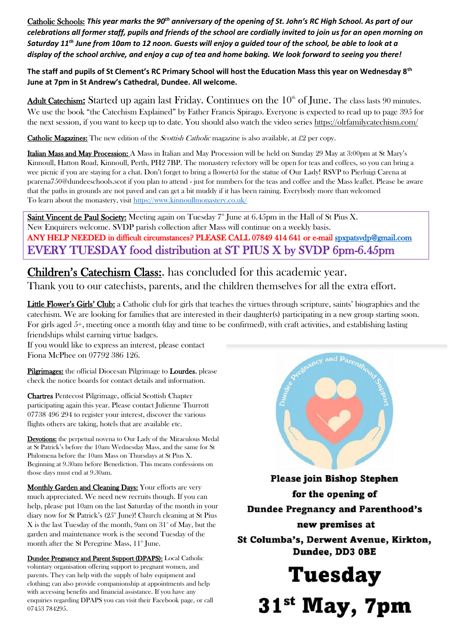Catholic Schools: *This year marks the 90th anniversary of the opening of St. John's RC High School. As part of our celebrations all former staff, pupils and friends of the school are cordially invited to join us for an open morning on Saturday 11th June from 10am to 12 noon. Guests will enjoy a guided tour of the school, be able to look at a display of the school archive, and enjoy a cup of tea and home baking. We look forward to seeing you there!*

**The staff and pupils of St Clement's RC Primary School will host the Education Mass this year on Wednesday 8th June at 7pm in St Andrew's Cathedral, Dundee. All welcome.**

Adult Catechism: Started up again last Friday. Continues on the  $10<sup>th</sup>$  of June. The class lasts 90 minutes. We use the book "the Catechism Explained" by Father Francis Spirago. Everyone is expected to read up to page 395 for the next session, if you want to keep up to date. You should also watch the video series<https://olrfamilycatechism.com/>

**Catholic Magazines:** The new edition of the *Scottish Catholic* magazine is also available, at £2 per copy.

Italian Mass and May Procession: A Mass in Italian and May Procession will be held on Sunday 29 May at 3:00pm at St Mary's Kinnoull, Hatton Road, Kinnoull, Perth, PH2 7BP. The monastery refectory will be open for teas and coffees, so you can bring a wee picnic if you are staying for a chat. Don't forget to bring a flower(s) for the statue of Our Lady! RSVP to Pierluigi Carena at pcarena750@dundeeschools.scot if you plan to attend - just for numbers for the teas and coffee and the Mass leaflet. Please be aware that the paths in grounds are not paved and can get a bit muddy if it has been raining. Everybody more than welcomed To learn about the monastery, visit<https://www.kinnoullmonastery.co.uk/>

Saint Vincent de Paul Society: Meeting again on Tuesday 7<sup>th</sup> June at 6.45pm in the Hall of St Pius X. New Enquirers welcome. SVDP parish collection after Mass will continue on a weekly basis. ANY HELP NEEDED in difficult circumstances? PLEASE CALL 07849 414 641 or e-mail [spxpatsvdp@gmail.com](mailto:spxpatsvdp@gmail.com)  EVERY TUESDAY food distribution at ST PIUS X by SVDP 6pm-6.45pm

Children's Catechism Class:. has concluded for this academic year.

Thank you to our catechists, parents, and the children themselves for all the extra effort.

Little Flower's Girls' Club: a Catholic club for girls that teaches the virtues through scripture, saints' biographies and the catechism. We are looking for families that are interested in their daughter(s) participating in a new group starting soon. For girls aged 5+, meeting once a month (day and time to be confirmed), with craft activities, and establishing lasting friendships whilst earning virtue badges.

If you would like to express an interest, please contact Fiona McPhee on 07792 386 126.

Pilgrimages: the official Diocesan Pilgrimage to Lourdes, please check the notice boards for contact details and information.

Chartres Pentecost Pilgrimage, official Scottish Chapter participating again this year. Please contact Julienne Thurrott 07738 496 294 to register your interest, discover the various flights others are taking, hotels that are available etc.

Devotions: the perpetual novena to Our Lady of the Miraculous Medal at St Patrick's before the 10am Wednesday Mass, and the same for St Philomena before the 10am Mass on Thursdays at St Pius X. Beginning at 9.30am before Benediction. This means confessions on those days must end at 9.30am.

Monthly Garden and Cleaning Days: Your efforts are very much appreciated. We need new recruits though. If you can help, please put 10am on the last Saturday of the month in your diary now for St Patrick's (25<sup>th</sup> June)! Church cleaning at St Pius X is the last Tuesday of the month,  $9am$  on  $31°$  of May, but the garden and maintenance work is the second Tuesday of the month after the St Peregrine Mass,  $11^{\text{th}}$  June.

Dundee Pregnancy and Parent Support (DPAPS): Local Catholic voluntary organisation offering support to pregnant women, and parents. They can help with the supply of baby equipment and clothing; can also provide companionship at appointments and help with accessing benefits and financial assistance. If you have any enquiries regarding DPAPS you can visit their Facebook page, or call 07453 784295.



**Please join Bishop Stephen** for the opening of **Dundee Pregnancy and Parenthood's** new premises at St Columba's, Derwent Avenue, Kirkton,

Dundee, DD3 OBE

**Tuesday** 31<sup>st</sup> May, 7pm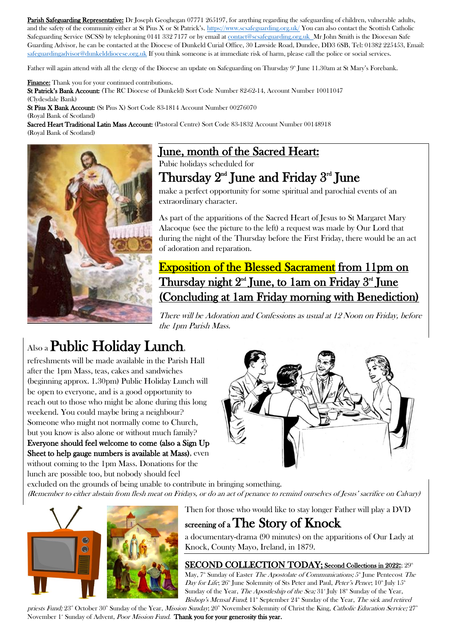Parish Safeguarding Representative: Dr Joseph Geoghegan 07771 265197, for anything regarding the safeguarding of children, vulnerable adults, and the safety of the community either at St Pius X or St Patrick's. <https://www.scsafeguarding.org.uk/> You can also contact the Scottish Catholic Safeguarding Service (SCSS) by telephoning 0141 332 7177 or by email a[t contact@scsafeguarding.org.uk](mailto:contact@scsafeguarding.org.uk) Mr John Smith is the Diocesan Safe Guarding Advisor, he can be contacted at the Diocese of Dunkeld Curial Office, 30 Lawside Road, Dundee, DD3 6SB, Tel: 01382 225453, Email: [safeguardingadvisor@dunkelddiocese.org.uk](mailto:safeguardingadvisor@dunkelddiocese.org.uk) If you think someone is at immediate risk of harm, please call the police or social services.

Father will again attend with all the clergy of the Diocese an update on Safeguarding on Thursday  $9^{\circ}$  June 11.30am at St Mary's Forebank.

Finance: Thank you for your continued contributions. St Patrick's Bank Account: (The RC Diocese of Dunkeld) Sort Code Number 82-62-14, Account Number 10011047

(Clydesdale Bank) St Pius X Bank Account: (St Pius X) Sort Code 83-1814 Account Number 00276070 (Royal Bank of Scotland)

Sacred Heart Traditional Latin Mass Account: (Pastoral Centre) Sort Code 83-1832 Account Number 00148918 (Royal Bank of Scotland)



## June, month of the Sacred Heart:

Pubic holidays scheduled for

## Thursday  $2^{\text{nd}}$  June and Friday  $3^{\text{rd}}$  June

make a perfect opportunity for some spiritual and parochial events of an extraordinary character.

As part of the apparitions of the Sacred Heart of Jesus to St Margaret Mary Alacoque (see the picture to the left) a request was made by Our Lord that during the night of the Thursday before the First Friday, there would be an act of adoration and reparation.

## Exposition of the Blessed Sacrament from 11pm on Thursday night 2<sup>nd</sup> June, to 1am on Friday 3<sup>nd</sup> June (Concluding at 1am Friday morning with Benediction)

There will be Adoration and Confessions as usual at 12 Noon on Friday, before the 1pm Parish Mass.

# Also a Public Holiday Lunch,

refreshments will be made available in the Parish Hall after the 1pm Mass, teas, cakes and sandwiches (beginning approx. 1.30pm) Public Holiday Lunch will be open to everyone, and is a good opportunity to reach out to those who might be alone during this long weekend. You could maybe bring a neighbour? Someone who might not normally come to Church, but you know is also alone or without much family? Everyone should feel welcome to come (also a Sign Up Sheet to help gauge numbers is available at Mass), even without coming to the 1pm Mass. Donations for the

excluded on the grounds of being unable to contribute in bringing something. (Remember to either abstain from flesh meat on Fridays, or do an act of penance to remind ourselves of Jesus' sacrifice on Calvary)



lunch are possible too, but nobody should feel

Then for those who would like to stay longer Father will play a DVD

## screening of a The Story of Knock

a documentary-drama (90 minutes) on the apparitions of Our Lady at Knock, County Mayo, Ireland, in 1879.

### SECOND COLLECTION TODAY; Second Collections in 2022:; 29<sup>th</sup>

May,  $7^{\text{th}}$  Sunday of Easter *The Apostolate of Communications;*  $5^{\text{th}}$  June Pentecost *The* Day for Life;  $26^{\text{th}}$  June Solemnity of Sts Peter and Paul, Peter's Pence;  $10^{\text{th}}$  July  $15^{\text{th}}$ Sunday of the Year, The Apostleship of the Sea;  $31^{\circ}$  July  $18^{\circ}$  Sunday of the Year, Bishop's Mensal Fund; 11<sup>th</sup> September 24<sup>th</sup> Sunday of the Year, The sick and retired

priests Fund; 23<sup>th</sup> October 30<sup>th</sup> Sunday of the Year, Mission Sunday; 20<sup>th</sup> November Solemnity of Christ the King, *Catholic Education Service*; 27<sup>th</sup> November 1<sup>st</sup> Sunday of Advent, *Poor Mission Fund*. Thank you for your generosity this year.